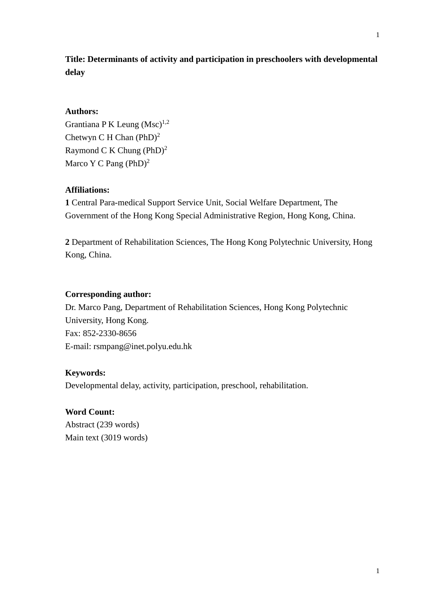1

# **Title: Determinants of activity and participation in preschoolers with developmental delay**

# **Authors:**

Grantiana P K Leung  $(Msc)^{1,2}$ Chetwyn C H Chan  $(PhD)^2$ Raymond C K Chung  $(PhD)^2$ Marco Y C Pang (PhD)<sup>2</sup>

## **Affiliations:**

**1** Central Para-medical Support Service Unit, Social Welfare Department, The Government of the Hong Kong Special Administrative Region, Hong Kong, China.

**2** Department of Rehabilitation Sciences, The Hong Kong Polytechnic University, Hong Kong, China.

## **Corresponding author:**

Dr. Marco Pang, Department of Rehabilitation Sciences, Hong Kong Polytechnic University, Hong Kong. Fax: 852-2330-8656 E-mail: rsmpang@inet.polyu.edu.hk

## **Keywords:**

Developmental delay, activity, participation, preschool, rehabilitation.

## **Word Count:**

Abstract (239 words) Main text (3019 words)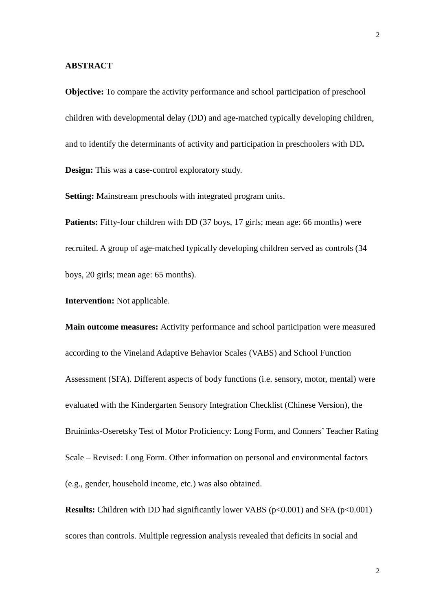#### **ABSTRACT**

**Objective:** To compare the activity performance and school participation of preschool children with developmental delay (DD) and age-matched typically developing children, and to identify the determinants of activity and participation in preschoolers with DD**. Design:** This was a case-control exploratory study.

**Setting:** Mainstream preschools with integrated program units.

**Patients:** Fifty-four children with DD (37 boys, 17 girls; mean age: 66 months) were recruited. A group of age-matched typically developing children served as controls (34 boys, 20 girls; mean age: 65 months).

**Intervention:** Not applicable.

**Main outcome measures:** Activity performance and school participation were measured according to the Vineland Adaptive Behavior Scales (VABS) and School Function Assessment (SFA). Different aspects of body functions (i.e. sensory, motor, mental) were evaluated with the Kindergarten Sensory Integration Checklist (Chinese Version), the Bruininks-Oseretsky Test of Motor Proficiency: Long Form, and Conners' Teacher Rating Scale – Revised: Long Form. Other information on personal and environmental factors (e.g., gender, household income, etc.) was also obtained.

**Results:** Children with DD had significantly lower VABS (p<0.001) and SFA (p<0.001) scores than controls. Multiple regression analysis revealed that deficits in social and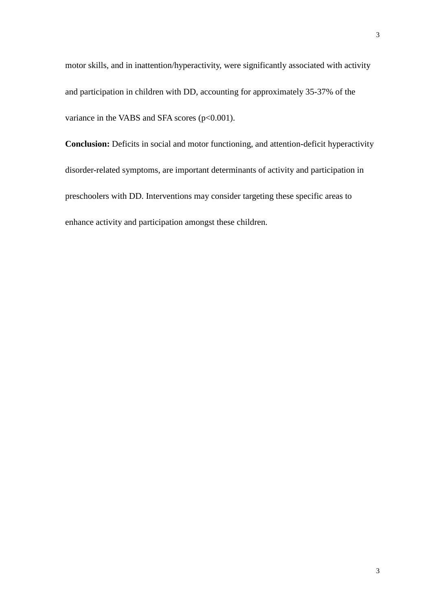**Conclusion:** Deficits in social and motor functioning, and attention-deficit hyperactivity disorder-related symptoms, are important determinants of activity and participation in preschoolers with DD. Interventions may consider targeting these specific areas to enhance activity and participation amongst these children.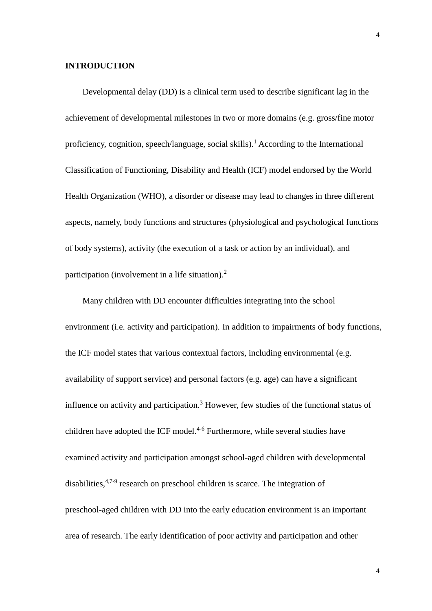## **INTRODUCTION**

Developmental delay (DD) is a clinical term used to describe significant lag in the achievement of developmental milestones in two or more domains (e.g. gross/fine motor proficiency, cognition, speech/language, social skills).<sup>1</sup> According to the International Classification of Functioning, Disability and Health (ICF) model endorsed by the World Health Organization (WHO), a disorder or disease may lead to changes in three different aspects, namely, body functions and structures (physiological and psychological functions of body systems), activity (the execution of a task or action by an individual), and participation (involvement in a life situation).<sup>2</sup>

Many children with DD encounter difficulties integrating into the school environment (i.e. activity and participation). In addition to impairments of body functions, the ICF model states that various contextual factors, including environmental (e.g. availability of support service) and personal factors (e.g. age) can have a significant influence on activity and participation.<sup>3</sup> However, few studies of the functional status of children have adopted the ICF model. 4-6 Furthermore, while several studies have examined activity and participation amongst school-aged children with developmental disabilities,<sup>4,7-9</sup> research on preschool children is scarce. The integration of preschool-aged children with DD into the early education environment is an important area of research. The early identification of poor activity and participation and other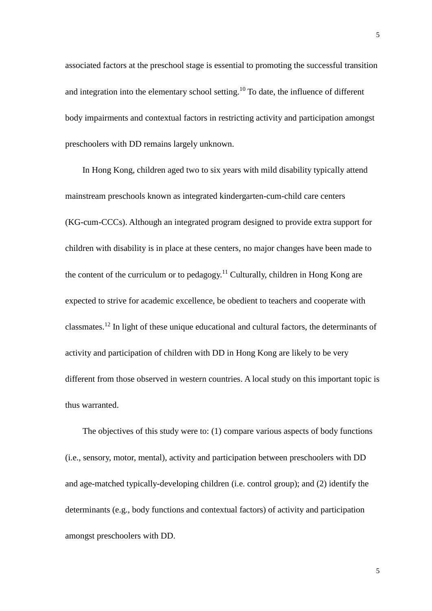associated factors at the preschool stage is essential to promoting the successful transition and integration into the elementary school setting.<sup>10</sup> To date, the influence of different body impairments and contextual factors in restricting activity and participation amongst preschoolers with DD remains largely unknown.

In Hong Kong, children aged two to six years with mild disability typically attend mainstream preschools known as integrated kindergarten-cum-child care centers (KG-cum-CCCs). Although an integrated program designed to provide extra support for children with disability is in place at these centers, no major changes have been made to the content of the curriculum or to pedagogy.<sup>11</sup> Culturally, children in Hong Kong are expected to strive for academic excellence, be obedient to teachers and cooperate with classmates.<sup>12</sup> In light of these unique educational and cultural factors, the determinants of activity and participation of children with DD in Hong Kong are likely to be very different from those observed in western countries. A local study on this important topic is thus warranted.

The objectives of this study were to: (1) compare various aspects of body functions (i.e., sensory, motor, mental), activity and participation between preschoolers with DD and age-matched typically-developing children (i.e. control group); and (2) identify the determinants (e.g., body functions and contextual factors) of activity and participation amongst preschoolers with DD.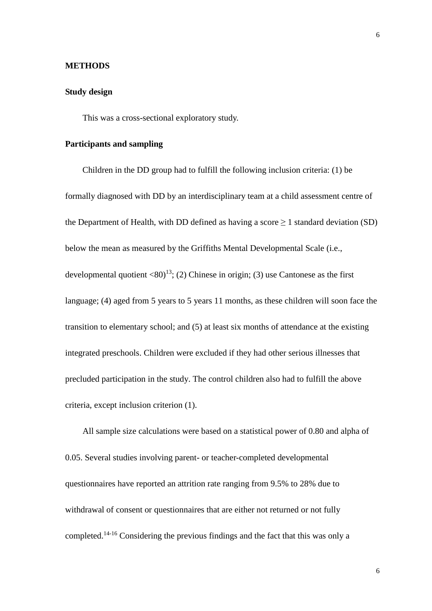### **METHODS**

## **Study design**

This was a cross-sectional exploratory study.

## **Participants and sampling**

Children in the DD group had to fulfill the following inclusion criteria: (1) be formally diagnosed with DD by an interdisciplinary team at a child assessment centre of the Department of Health, with DD defined as having a score  $\geq 1$  standard deviation (SD) below the mean as measured by the Griffiths Mental Developmental Scale (i.e., developmental quotient <80)<sup>13</sup>; (2) Chinese in origin; (3) use Cantonese as the first language; (4) aged from 5 years to 5 years 11 months, as these children will soon face the transition to elementary school; and (5) at least six months of attendance at the existing integrated preschools. Children were excluded if they had other serious illnesses that precluded participation in the study. The control children also had to fulfill the above criteria, except inclusion criterion (1).

All sample size calculations were based on a statistical power of 0.80 and alpha of 0.05. Several studies involving parent- or teacher-completed developmental questionnaires have reported an attrition rate ranging from 9.5% to 28% due to withdrawal of consent or questionnaires that are either not returned or not fully completed.14-16 Considering the previous findings and the fact that this was only a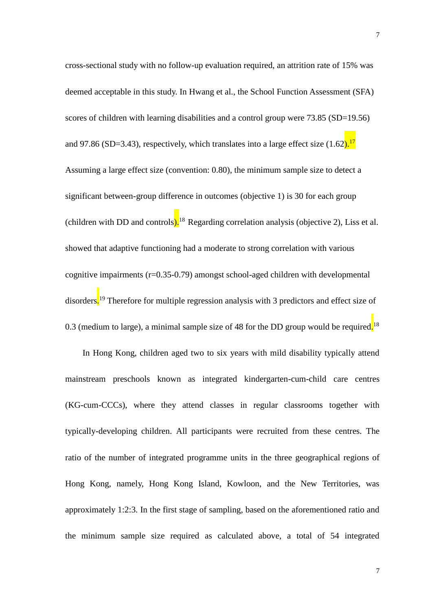cross-sectional study with no follow-up evaluation required, an attrition rate of 15% was deemed acceptable in this study. In Hwang et al., the School Function Assessment (SFA) scores of children with learning disabilities and a control group were 73.85 (SD=19.56) and 97.86 (SD=3.43), respectively, which translates into a large effect size  $(1.62)$ .<sup>17</sup> Assuming a large effect size (convention: 0.80), the minimum sample size to detect a significant between-group difference in outcomes (objective 1) is 30 for each group (children with DD and controls).<sup>18</sup> Regarding correlation analysis (objective 2), Liss et al. showed that adaptive functioning had a moderate to strong correlation with various cognitive impairments (r=0.35-0.79) amongst school-aged children with developmental disorders.<sup>19</sup> Therefore for multiple regression analysis with 3 predictors and effect size of 0.3 (medium to large), a minimal sample size of 48 for the DD group would be required.<sup>18</sup>

In Hong Kong, children aged two to six years with mild disability typically attend mainstream preschools known as integrated kindergarten-cum-child care centres (KG-cum-CCCs), where they attend classes in regular classrooms together with typically-developing children. All participants were recruited from these centres. The ratio of the number of integrated programme units in the three geographical regions of Hong Kong, namely, Hong Kong Island, Kowloon, and the New Territories, was approximately 1:2:3. In the first stage of sampling, based on the aforementioned ratio and the minimum sample size required as calculated above, a total of 54 integrated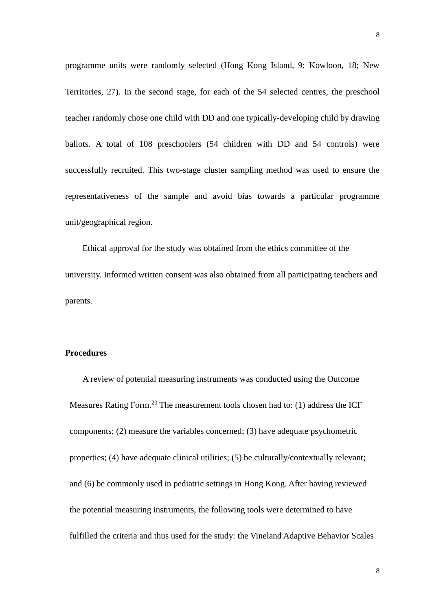programme units were randomly selected (Hong Kong Island, 9; Kowloon, 18; New Territories, 27). In the second stage, for each of the 54 selected centres, the preschool teacher randomly chose one child with DD and one typically-developing child by drawing ballots. A total of 108 preschoolers (54 children with DD and 54 controls) were successfully recruited. This two-stage cluster sampling method was used to ensure the representativeness of the sample and avoid bias towards a particular programme unit/geographical region.

Ethical approval for the study was obtained from the ethics committee of the university. Informed written consent was also obtained from all participating teachers and parents.

## **Procedures**

A review of potential measuring instruments was conducted using the Outcome Measures Rating Form.<sup>20</sup> The measurement tools chosen had to: (1) address the ICF components; (2) measure the variables concerned; (3) have adequate psychometric properties; (4) have adequate clinical utilities; (5) be culturally/contextually relevant; and (6) be commonly used in pediatric settings in Hong Kong. After having reviewed the potential measuring instruments, the following tools were determined to have fulfilled the criteria and thus used for the study: the Vineland Adaptive Behavior Scales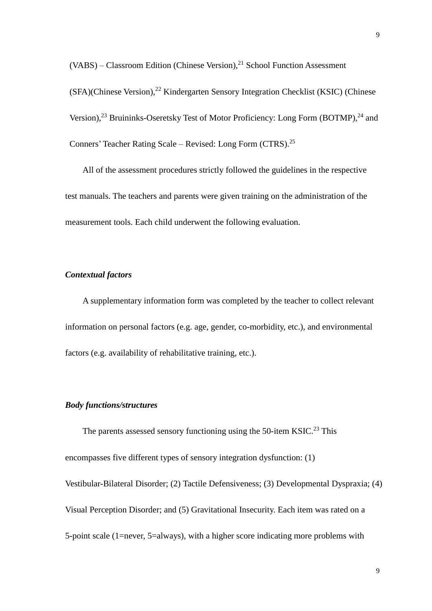$(VABS)$  – Classroom Edition (Chinese Version),<sup>21</sup> School Function Assessment (SFA)(Chinese Version),<sup>22</sup> Kindergarten Sensory Integration Checklist (KSIC) (Chinese Version),<sup>23</sup> Bruininks-Oseretsky Test of Motor Proficiency: Long Form (BOTMP),<sup>24</sup> and Conners' Teacher Rating Scale - Revised: Long Form (CTRS).<sup>25</sup>

All of the assessment procedures strictly followed the guidelines in the respective test manuals. The teachers and parents were given training on the administration of the measurement tools. Each child underwent the following evaluation.

## *Contextual factors*

A supplementary information form was completed by the teacher to collect relevant information on personal factors (e.g. age, gender, co-morbidity, etc.), and environmental factors (e.g. availability of rehabilitative training, etc.).

# *Body functions/structures*

The parents assessed sensory functioning using the 50-item KSIC.<sup>23</sup> This encompasses five different types of sensory integration dysfunction: (1) Vestibular-Bilateral Disorder; (2) Tactile Defensiveness; (3) Developmental Dyspraxia; (4) Visual Perception Disorder; and (5) Gravitational Insecurity. Each item was rated on a 5-point scale (1=never, 5=always), with a higher score indicating more problems with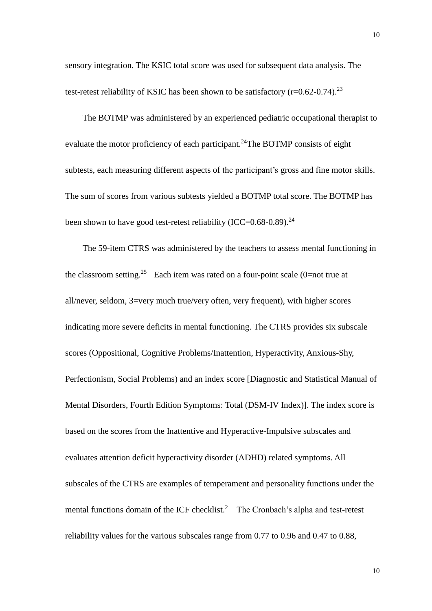sensory integration. The KSIC total score was used for subsequent data analysis. The test-retest reliability of KSIC has been shown to be satisfactory ( $r=0.62-0.74$ )<sup>23</sup>

The BOTMP was administered by an experienced pediatric occupational therapist to evaluate the motor proficiency of each participant.<sup>24</sup>The BOTMP consists of eight subtests, each measuring different aspects of the participant's gross and fine motor skills. The sum of scores from various subtests yielded a BOTMP total score. The BOTMP has been shown to have good test-retest reliability (ICC=0.68-0.89).<sup>24</sup>

The 59-item CTRS was administered by the teachers to assess mental functioning in the classroom setting.<sup>25</sup> Each item was rated on a four-point scale (0=not true at all/never, seldom, 3=very much true/very often, very frequent), with higher scores indicating more severe deficits in mental functioning. The CTRS provides six subscale scores (Oppositional, Cognitive Problems/Inattention, Hyperactivity, Anxious-Shy, Perfectionism, Social Problems) and an index score [Diagnostic and Statistical Manual of Mental Disorders, Fourth Edition Symptoms: Total (DSM-IV Index)]. The index score is based on the scores from the Inattentive and Hyperactive-Impulsive subscales and evaluates attention deficit hyperactivity disorder (ADHD) related symptoms. All subscales of the CTRS are examples of temperament and personality functions under the mental functions domain of the ICF checklist.<sup>2</sup> The Cronbach's alpha and test-retest reliability values for the various subscales range from 0.77 to 0.96 and 0.47 to 0.88,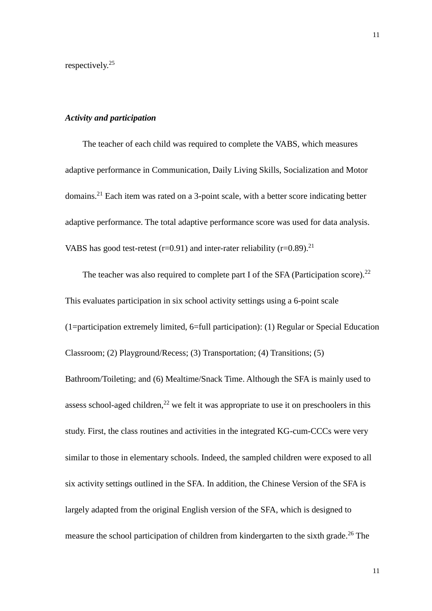respectively. 25

## *Activity and participation*

The teacher of each child was required to complete the VABS*,* which measures adaptive performance in Communication, Daily Living Skills, Socialization and Motor domains.<sup>21</sup> Each item was rated on a 3-point scale, with a better score indicating better adaptive performance. The total adaptive performance score was used for data analysis. VABS has good test-retest (r=0.91) and inter-rater reliability (r=0.89).<sup>21</sup>

The teacher was also required to complete part I of the SFA (Participation score).<sup>22</sup> This evaluates participation in six school activity settings using a 6-point scale (1=participation extremely limited, 6=full participation): (1) Regular or Special Education Classroom; (2) Playground/Recess; (3) Transportation; (4) Transitions; (5) Bathroom/Toileting; and (6) Mealtime/Snack Time. Although the SFA is mainly used to assess school-aged children,<sup>22</sup> we felt it was appropriate to use it on preschoolers in this study. First, the class routines and activities in the integrated KG-cum-CCCs were very similar to those in elementary schools. Indeed, the sampled children were exposed to all six activity settings outlined in the SFA. In addition, the Chinese Version of the SFA is largely adapted from the original English version of the SFA, which is designed to measure the school participation of children from kindergarten to the sixth grade.<sup>26</sup> The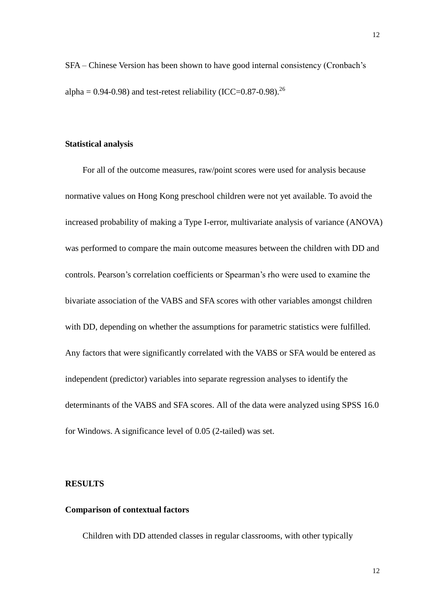SFA – Chinese Version has been shown to have good internal consistency (Cronbach's alpha =  $0.94$ - $0.98$ ) and test-retest reliability (ICC= $0.87$ - $0.98$ ).<sup>26</sup>

## **Statistical analysis**

For all of the outcome measures, raw/point scores were used for analysis because normative values on Hong Kong preschool children were not yet available. To avoid the increased probability of making a Type I-error, multivariate analysis of variance (ANOVA) was performed to compare the main outcome measures between the children with DD and controls. Pearson's correlation coefficients or Spearman's rho were used to examine the bivariate association of the VABS and SFA scores with other variables amongst children with DD, depending on whether the assumptions for parametric statistics were fulfilled. Any factors that were significantly correlated with the VABS or SFA would be entered as independent (predictor) variables into separate regression analyses to identify the determinants of the VABS and SFA scores. All of the data were analyzed using SPSS 16.0 for Windows. A significance level of 0.05 (2-tailed) was set.

## **RESULTS**

#### **Comparison of contextual factors**

Children with DD attended classes in regular classrooms, with other typically

12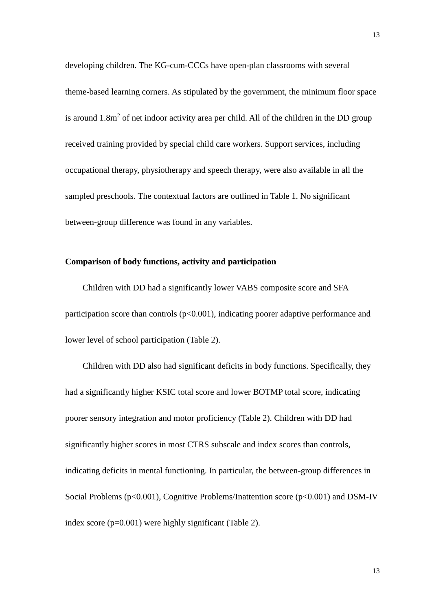developing children. The KG-cum-CCCs have open-plan classrooms with several theme-based learning corners. As stipulated by the government, the minimum floor space is around  $1.8m<sup>2</sup>$  of net indoor activity area per child. All of the children in the DD group received training provided by special child care workers. Support services, including occupational therapy, physiotherapy and speech therapy, were also available in all the sampled preschools. The contextual factors are outlined in Table 1. No significant between-group difference was found in any variables.

## **Comparison of body functions, activity and participation**

Children with DD had a significantly lower VABS composite score and SFA participation score than controls  $(p<0.001)$ , indicating poorer adaptive performance and lower level of school participation (Table 2).

Children with DD also had significant deficits in body functions. Specifically, they had a significantly higher KSIC total score and lower BOTMP total score, indicating poorer sensory integration and motor proficiency (Table 2). Children with DD had significantly higher scores in most CTRS subscale and index scores than controls, indicating deficits in mental functioning. In particular, the between-group differences in Social Problems (p<0.001), Cognitive Problems/Inattention score (p<0.001) and DSM-IV index score (p=0.001) were highly significant (Table 2).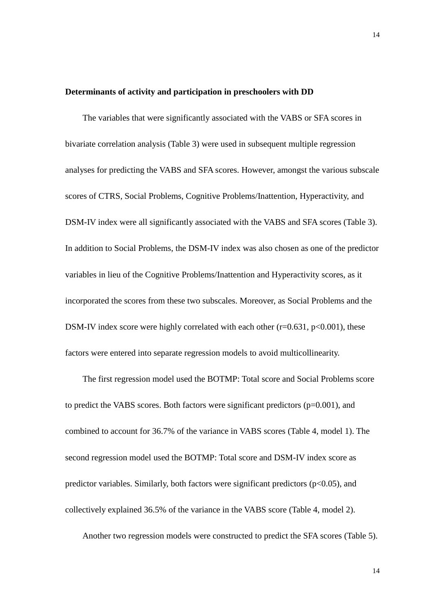### **Determinants of activity and participation in preschoolers with DD**

The variables that were significantly associated with the VABS or SFA scores in bivariate correlation analysis (Table 3) were used in subsequent multiple regression analyses for predicting the VABS and SFA scores. However, amongst the various subscale scores of CTRS, Social Problems, Cognitive Problems/Inattention, Hyperactivity, and DSM-IV index were all significantly associated with the VABS and SFA scores (Table 3). In addition to Social Problems, the DSM-IV index was also chosen as one of the predictor variables in lieu of the Cognitive Problems/Inattention and Hyperactivity scores, as it incorporated the scores from these two subscales. Moreover, as Social Problems and the DSM-IV index score were highly correlated with each other  $(r=0.631, p<0.001)$ , these factors were entered into separate regression models to avoid multicollinearity.

The first regression model used the BOTMP: Total score and Social Problems score to predict the VABS scores. Both factors were significant predictors  $(p=0.001)$ , and combined to account for 36.7% of the variance in VABS scores (Table 4, model 1). The second regression model used the BOTMP: Total score and DSM-IV index score as predictor variables. Similarly, both factors were significant predictors ( $p<0.05$ ), and collectively explained 36.5% of the variance in the VABS score (Table 4, model 2).

Another two regression models were constructed to predict the SFA scores (Table 5).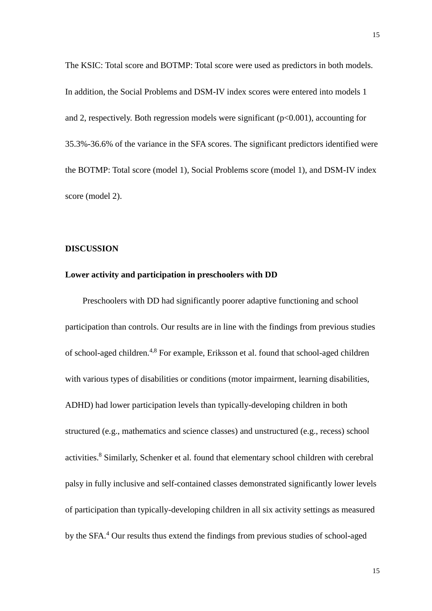The KSIC: Total score and BOTMP: Total score were used as predictors in both models. In addition, the Social Problems and DSM-IV index scores were entered into models 1 and 2, respectively. Both regression models were significant  $(p<0.001)$ , accounting for 35.3%-36.6% of the variance in the SFA scores. The significant predictors identified were the BOTMP: Total score (model 1), Social Problems score (model 1), and DSM-IV index score (model 2).

#### **DISCUSSION**

## **Lower activity and participation in preschoolers with DD**

Preschoolers with DD had significantly poorer adaptive functioning and school participation than controls. Our results are in line with the findings from previous studies of school-aged children.4,8 For example, Eriksson et al. found that school-aged children with various types of disabilities or conditions (motor impairment, learning disabilities, ADHD) had lower participation levels than typically-developing children in both structured (e.g., mathematics and science classes) and unstructured (e.g., recess) school activities.<sup>8</sup> Similarly, Schenker et al. found that elementary school children with cerebral palsy in fully inclusive and self-contained classes demonstrated significantly lower levels of participation than typically-developing children in all six activity settings as measured by the SFA. <sup>4</sup> Our results thus extend the findings from previous studies of school-aged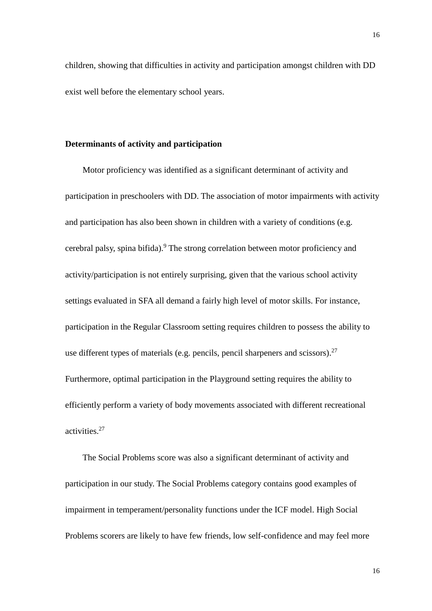16

exist well before the elementary school years.

## **Determinants of activity and participation**

Motor proficiency was identified as a significant determinant of activity and participation in preschoolers with DD. The association of motor impairments with activity and participation has also been shown in children with a variety of conditions (e.g. cerebral palsy, spina bifida).<sup>9</sup> The strong correlation between motor proficiency and activity/participation is not entirely surprising, given that the various school activity settings evaluated in SFA all demand a fairly high level of motor skills. For instance, participation in the Regular Classroom setting requires children to possess the ability to use different types of materials (e.g. pencils, pencil sharpeners and scissors). $27$ Furthermore, optimal participation in the Playground setting requires the ability to efficiently perform a variety of body movements associated with different recreational activities.<sup>27</sup>

children, showing that difficulties in activity and participation amongst children with DD

The Social Problems score was also a significant determinant of activity and participation in our study. The Social Problems category contains good examples of impairment in temperament/personality functions under the ICF model. High Social Problems scorers are likely to have few friends, low self-confidence and may feel more

16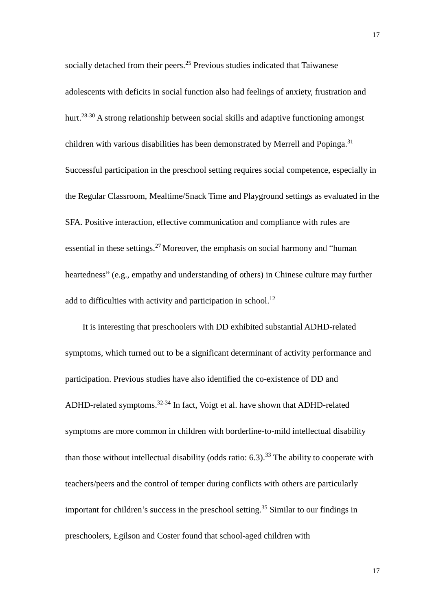socially detached from their peers.<sup>25</sup> Previous studies indicated that Taiwanese adolescents with deficits in social function also had feelings of anxiety, frustration and hurt.<sup>28-30</sup> A strong relationship between social skills and adaptive functioning amongst children with various disabilities has been demonstrated by Merrell and Popinga.<sup>31</sup> Successful participation in the preschool setting requires social competence, especially in the Regular Classroom, Mealtime/Snack Time and Playground settings as evaluated in the SFA. Positive interaction, effective communication and compliance with rules are essential in these settings.<sup>27</sup> Moreover, the emphasis on social harmony and "human" heartedness" (e.g., empathy and understanding of others) in Chinese culture may further add to difficulties with activity and participation in school.<sup>12</sup>

It is interesting that preschoolers with DD exhibited substantial ADHD-related symptoms, which turned out to be a significant determinant of activity performance and participation. Previous studies have also identified the co-existence of DD and ADHD-related symptoms.<sup>32-34</sup> In fact, Voigt et al. have shown that ADHD-related symptoms are more common in children with borderline-to-mild intellectual disability than those without intellectual disability (odds ratio:  $6.3$ ).<sup>33</sup> The ability to cooperate with teachers/peers and the control of temper during conflicts with others are particularly important for children's success in the preschool setting.<sup>35</sup> Similar to our findings in preschoolers, Egilson and Coster found that school-aged children with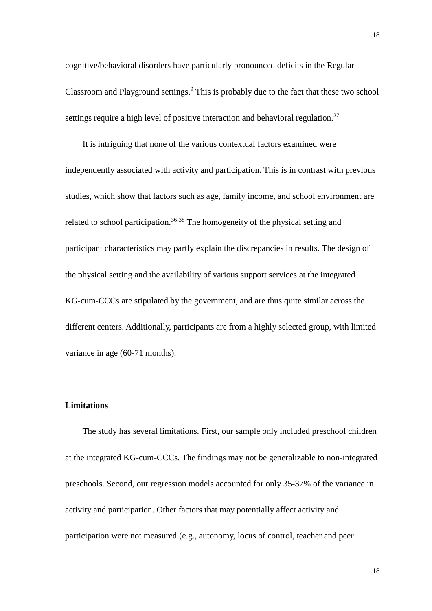cognitive/behavioral disorders have particularly pronounced deficits in the Regular Classroom and Playground settings. <sup>9</sup> This is probably due to the fact that these two school settings require a high level of positive interaction and behavioral regulation.<sup>27</sup>

It is intriguing that none of the various contextual factors examined were independently associated with activity and participation. This is in contrast with previous studies, which show that factors such as age, family income, and school environment are related to school participation.<sup>36-38</sup> The homogeneity of the physical setting and participant characteristics may partly explain the discrepancies in results. The design of the physical setting and the availability of various support services at the integrated KG-cum-CCCs are stipulated by the government, and are thus quite similar across the different centers. Additionally, participants are from a highly selected group, with limited variance in age (60-71 months).

### **Limitations**

The study has several limitations. First, our sample only included preschool children at the integrated KG-cum-CCCs. The findings may not be generalizable to non-integrated preschools. Second, our regression models accounted for only 35-37% of the variance in activity and participation. Other factors that may potentially affect activity and participation were not measured (e.g., autonomy, locus of control, teacher and peer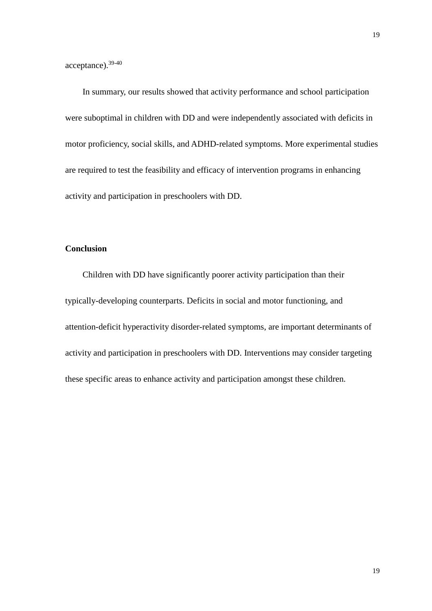acceptance).39-40

In summary, our results showed that activity performance and school participation were suboptimal in children with DD and were independently associated with deficits in motor proficiency, social skills, and ADHD-related symptoms. More experimental studies are required to test the feasibility and efficacy of intervention programs in enhancing activity and participation in preschoolers with DD.

## **Conclusion**

Children with DD have significantly poorer activity participation than their typically-developing counterparts. Deficits in social and motor functioning, and attention-deficit hyperactivity disorder-related symptoms, are important determinants of activity and participation in preschoolers with DD. Interventions may consider targeting these specific areas to enhance activity and participation amongst these children.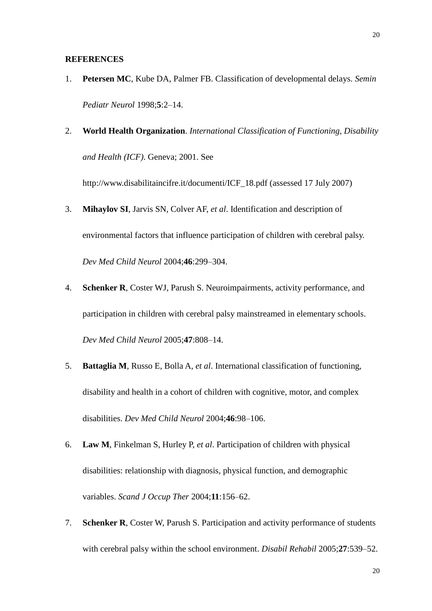#### **REFERENCES**

- 1. **Petersen MC**, Kube DA, Palmer FB. Classification of developmental delays. *Semin Pediatr Neurol* 1998;**5**:2*–*14.
- 2. **World Health Organization**. *International Classification of Functioning, Disability and Health (ICF)*. Geneva; 2001. See

http:/[/www.disabilitaincifre.it/documenti/ICF\\_18.pdf](http://www.disabilitaincifre.it/documenti/ICF_18.pdf) (assessed 17 July 2007)

- 3. **Mihaylov SI**, Jarvis SN, Colver AF, *et al*. Identification and description of environmental factors that influence participation of children with cerebral palsy. *Dev Med Child Neurol* 2004;**46**:299–304.
- 4. **Schenker R**, Coster WJ, Parush S. Neuroimpairments, activity performance, and participation in children with cerebral palsy mainstreamed in elementary schools. *Dev Med Child Neurol* 2005;**47**:808–14.
- 5. **Battaglia M**, Russo E, Bolla A, *et al*. International classification of functioning, disability and health in a cohort of children with cognitive, motor, and complex disabilities. *Dev Med Child Neurol* 2004;**46**:98–106.
- 6. **Law M**, Finkelman S, Hurley P, *et al*. Participation of children with physical disabilities: relationship with diagnosis, physical function, and demographic variables. *Scand J Occup Ther* 2004;**11**:156–62.
- 7. **Schenker R**, Coster W, Parush S. Participation and activity performance of students with cerebral palsy within the school environment. *Disabil Rehabil* 2005;**27**:539–52.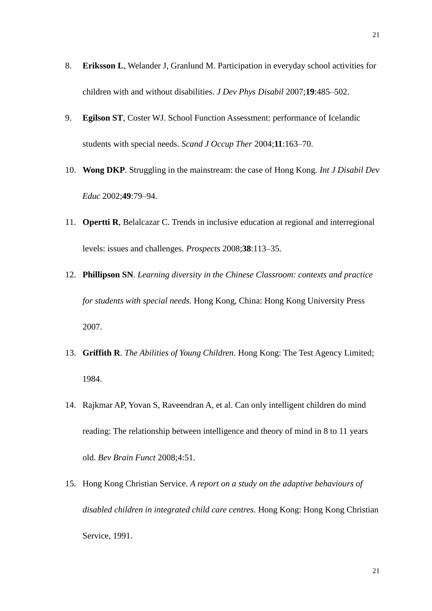- 8. **Eriksson L**, Welander J, Granlund M. Participation in everyday school activities for children with and without disabilities. *J Dev Phys Disabil* 2007;**19**:485–502.
- 9. **Egilson ST**, Coster WJ. School Function Assessment: performance of Icelandic students with special needs. *Scand J Occup Ther* 2004;**11**:163–70.
- 10. **Wong DKP**. Struggling in the mainstream: the case of Hong Kong. *Int J Disabil Dev Educ* 2002;**49**:79–94.
- 11. **Opertti R**, Belalcazar C. Trends in inclusive education at regional and interregional levels: issues and challenges. *Prospects* 2008;**38**:113–35.
- 12. **Phillipson SN**. *Learning diversity in the Chinese Classroom: contexts and practice for students with special needs.* Hong Kong, China: Hong Kong University Press 2007.
- 13. **Griffith R**. *The Abilities of Young Children*. Hong Kong: The Test Agency Limited; 1984.
- 14. Rajkmar AP, Yovan S, Raveendran A, et al. Can only intelligent children do mind reading: The relationship between intelligence and theory of mind in 8 to 11 years old. *Bev Brain Funct* 2008;4:51.
- 15. Hong Kong Christian Service. *A report on a study on the adaptive behaviours of disabled children in integrated child care centres*. Hong Kong: Hong Kong Christian Service, 1991.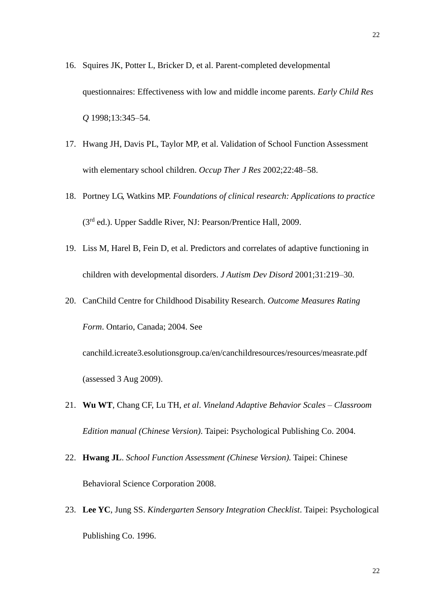- 16. Squires JK, Potter L, Bricker D, et al. Parent-completed developmental questionnaires: Effectiveness with low and middle income parents. *Early Child Res Q* 1998;13:345–54.
- 17. Hwang JH, Davis PL, Taylor MP, et al. Validation of School Function Assessment with elementary school children. *Occup Ther J Res* 2002;22:48–58.
- 18. Portney LG, Watkins MP. *Foundations of clinical research: Applications to practice* (3rd ed.). Upper Saddle River, NJ: Pearson/Prentice Hall, 2009.
- 19. Liss M, Harel B, Fein D, et al. Predictors and correlates of adaptive functioning in children with developmental disorders. *J Autism Dev Disord* 2001;31:219–30.
- 20. CanChild Centre for Childhood Disability Research. *Outcome Measures Rating Form*. Ontario, Canada; 2004. See [canchild.icreate3.esolutionsgroup.ca/en/canchildresources/resources/measrate.pdf](http://canchild.icreate3.esolutionsgroup.ca/en/canchildresources/resources/measrate.pdf) (assessed 3 Aug 2009).
- 21. **Wu WT**, Chang CF, Lu TH, *et al*. *Vineland Adaptive Behavior Scales – Classroom Edition manual (Chinese Version)*. Taipei: Psychological Publishing Co. 2004.
- 22. **Hwang JL**. *School Function Assessment (Chinese Version).* Taipei: Chinese Behavioral Science Corporation 2008.
- 23. **Lee YC**, Jung SS. *Kindergarten Sensory Integration Checklist*. Taipei: Psychological Publishing Co. 1996.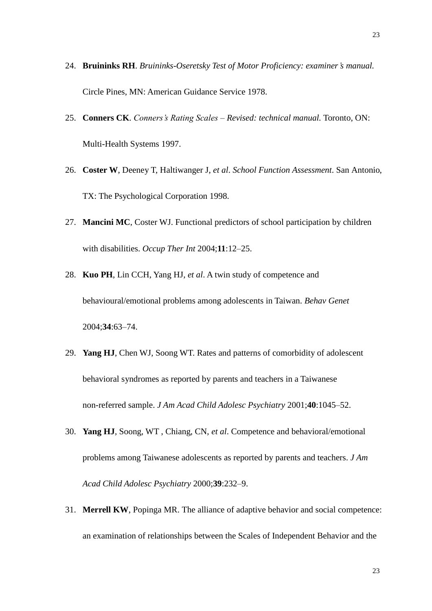- 24. **Bruininks RH**. *Bruininks-Oseretsky Test of Motor Proficiency: examiner's manual.* Circle Pines, MN: American Guidance Service 1978.
- 25. **Conners CK**. *Conners's Rating Scales – Revised: technical manual.* Toronto, ON: Multi-Health Systems 1997.
- 26. **Coster W**, Deeney T, Haltiwanger J, *et al*. *School Function Assessment*. San Antonio, TX: The Psychological Corporation 1998.
- 27. **Mancini MC**, Coster WJ. Functional predictors of school participation by children with disabilities. *Occup Ther Int* 2004;**11**:12–25.
- 28. **Kuo PH**, Lin CCH, Yang HJ, *et al*. A twin study of competence and behavioural/emotional problems among adolescents in Taiwan. *Behav Genet* 2004;**34**:63–74.
- 29. **Yang HJ**, Chen WJ, Soong WT. Rates and patterns of comorbidity of adolescent behavioral syndromes as reported by parents and teachers in a Taiwanese non-referred sample. *J Am Acad Child Adolesc Psychiatry* 2001;**40**:1045–52.
- 30. **Yang HJ**, Soong, WT , Chiang, CN, *et al*. Competence and behavioral/emotional problems among Taiwanese adolescents as reported by parents and teachers. *J Am Acad Child Adolesc Psychiatry* 2000;**39**:232–9.
- 31. **Merrell KW**, Popinga MR. The alliance of adaptive behavior and social competence: an examination of relationships between the Scales of Independent Behavior and the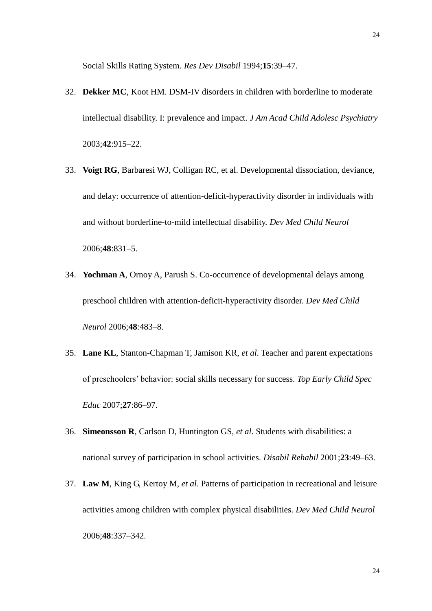Social Skills Rating System. *Res Dev Disabil* 1994;**15**:39–47.

- 32. **Dekker MC**, Koot HM. DSM-IV disorders in children with borderline to moderate intellectual disability. I: prevalence and impact. *J Am Acad Child Adolesc Psychiatry* 2003;**42**:915–22.
- 33. **Voigt RG**, Barbaresi WJ, Colligan RC, et al. Developmental dissociation, deviance, and delay: occurrence of attention-deficit-hyperactivity disorder in individuals with and without borderline-to-mild intellectual disability. *Dev Med Child Neurol* 2006;**48**:831–5.
- 34. **Yochman A**, Ornoy A, Parush S. Co-occurrence of developmental delays among preschool children with attention-deficit-hyperactivity disorder. *Dev Med Child Neurol* 2006;**48**:483–8.
- 35. **Lane KL**, Stanton-Chapman T, Jamison KR, *et al*. Teacher and parent expectations of preschoolers' behavior: social skills necessary for success. *Top Early Child Spec Educ* 2007;**27**:86–97.
- 36. **Simeonsson R**, Carlson D, Huntington GS, *et al*. Students with disabilities: a national survey of participation in school activities. *Disabil Rehabil* 2001;**23**:49–63.
- 37. **Law M**, King G, Kertoy M, *et al*. Patterns of participation in recreational and leisure activities among children with complex physical disabilities. *Dev Med Child Neurol* 2006;**48**:337–342.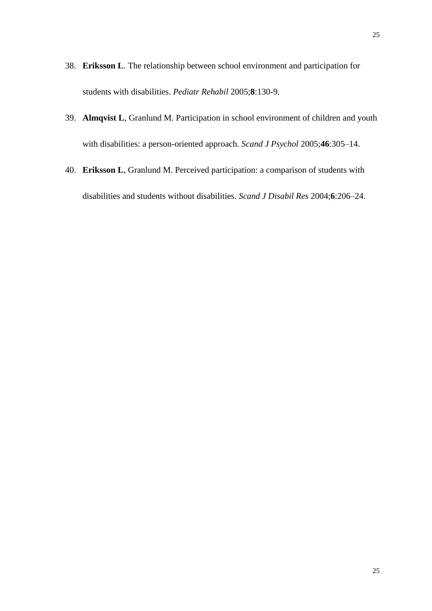- 38. **Eriksson L**. [The relationship between school environment and participation for](http://www.ncbi.nlm.nih.gov/pubmed/16089253?itool=EntrezSystem2.PEntrez.Pubmed.Pubmed_ResultsPanel.Pubmed_RVDocSum&ordinalpos=4)  [students with disabilities.](http://www.ncbi.nlm.nih.gov/pubmed/16089253?itool=EntrezSystem2.PEntrez.Pubmed.Pubmed_ResultsPanel.Pubmed_RVDocSum&ordinalpos=4) *Pediatr Rehabil* 2005;**8**:130-9.
- 39. **Almqvist L**, Granlund M. Participation in school environment of children and youth with disabilities: a person-oriented approach. *Scand J Psychol* 2005;**46**:305–14.
- 40. **Eriksson L**, Granlund M. Perceived participation: a comparison of students with disabilities and students without disabilities. *Scand J Disabil Res* 2004;**6**:206–24.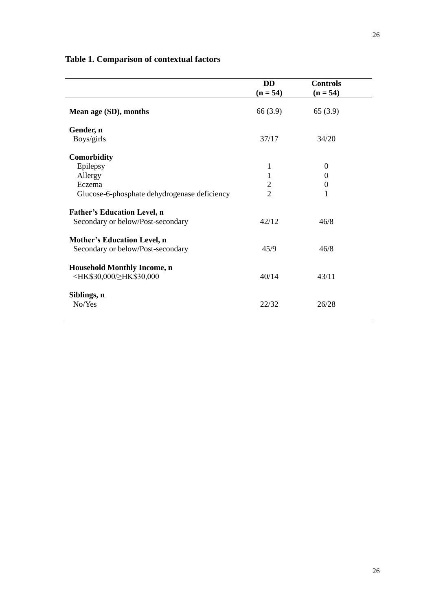|                                                                                      | <b>DD</b><br>$(n = 54)$ | <b>Controls</b><br>$(n = 54)$ |  |
|--------------------------------------------------------------------------------------|-------------------------|-------------------------------|--|
| Mean age (SD), months                                                                | 66(3.9)                 | 65(3.9)                       |  |
| Gender, n                                                                            |                         |                               |  |
| Boys/girls                                                                           | 37/17                   | 34/20                         |  |
| Comorbidity                                                                          |                         |                               |  |
| Epilepsy                                                                             | 1                       | $\Omega$                      |  |
| Allergy                                                                              | 1                       | $\Omega$                      |  |
| Eczema                                                                               | $\overline{2}$          | $\theta$                      |  |
| Glucose-6-phosphate dehydrogenase deficiency                                         | $\overline{2}$          | 1                             |  |
| <b>Father's Education Level, n</b>                                                   |                         |                               |  |
| Secondary or below/Post-secondary                                                    | 42/12                   | 46/8                          |  |
| <b>Mother's Education Level, n</b>                                                   |                         |                               |  |
| Secondary or below/Post-secondary                                                    | 45/9                    | 46/8                          |  |
| <b>Household Monthly Income, n</b>                                                   |                         |                               |  |
| <hk\$30,000 td="" ≥hk\$30,000<=""><td>40/14</td><td>43/11</td><td></td></hk\$30,000> | 40/14                   | 43/11                         |  |
| Siblings, n                                                                          |                         |                               |  |
| No/Yes                                                                               | 22/32                   | 26/28                         |  |

# **Table 1. Comparison of contextual factors**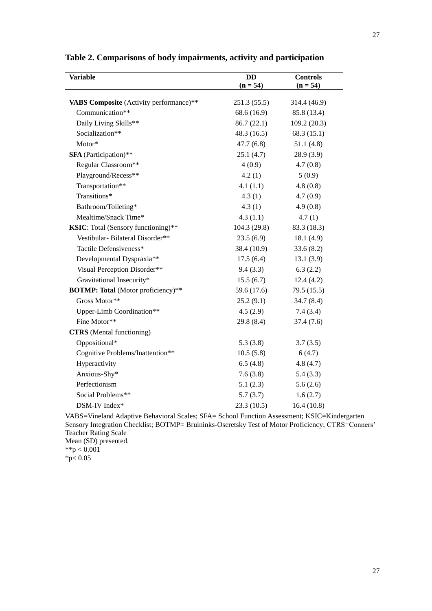| <b>Variable</b>                                            | <b>DD</b><br>$(n = 54)$ | <b>Controls</b><br>$(n = 54)$ |
|------------------------------------------------------------|-------------------------|-------------------------------|
|                                                            |                         | 314.4 (46.9)                  |
| VABS Composite (Activity performance)**<br>Communication** | 251.3 (55.5)            |                               |
|                                                            | 68.6 (16.9)             | 85.8 (13.4)                   |
| Daily Living Skills**                                      | 86.7(22.1)              | 109.2(20.3)                   |
| Socialization**                                            | 48.3(16.5)              | 68.3(15.1)                    |
| Motor*                                                     | 47.7(6.8)               | 51.1(4.8)                     |
| <b>SFA</b> (Participation)**                               | 25.1(4.7)               | 28.9(3.9)                     |
| Regular Classroom**                                        | 4(0.9)                  | 4.7(0.8)                      |
| Playground/Recess**                                        | 4.2(1)                  | 5(0.9)                        |
| Transportation**                                           | 4.1(1.1)                | 4.8(0.8)                      |
| Transitions*                                               | 4.3(1)                  | 4.7(0.9)                      |
| Bathroom/Toileting*                                        | 4.3(1)                  | 4.9(0.8)                      |
| Mealtime/Snack Time*                                       | 4.3(1.1)                | 4.7(1)                        |
| KSIC: Total (Sensory functioning)**                        | 104.3 (29.8)            | 83.3 (18.3)                   |
| Vestibular-Bilateral Disorder**                            | 23.5(6.9)               | 18.1 (4.9)                    |
| Tactile Defensiveness*                                     | 38.4 (10.9)             | 33.6(8.2)                     |
| Developmental Dyspraxia**                                  | 17.5(6.4)               | 13.1(3.9)                     |
| Visual Perception Disorder**                               | 9.4(3.3)                | 6.3(2.2)                      |
| Gravitational Insecurity*                                  | 15.5(6.7)               | 12.4(4.2)                     |
| <b>BOTMP: Total</b> (Motor proficiency)**                  | 59.6 (17.6)             | 79.5 (15.5)                   |
| Gross Motor**                                              | 25.2(9.1)               | 34.7(8.4)                     |
| Upper-Limb Coordination**                                  | 4.5(2.9)                | 7.4(3.4)                      |
| Fine Motor**                                               | 29.8(8.4)               | 37.4(7.6)                     |
| <b>CTRS</b> (Mental functioning)                           |                         |                               |
| Oppositional*                                              | 5.3(3.8)                | 3.7(3.5)                      |
| Cognitive Problems/Inattention**                           | 10.5(5.8)               | 6(4.7)                        |
| Hyperactivity                                              | 6.5(4.8)                | 4.8(4.7)                      |
| Anxious-Shy*                                               | 7.6(3.8)                | 5.4(3.3)                      |
| Perfectionism                                              | 5.1(2.3)                | 5.6(2.6)                      |
| Social Problems**                                          | 5.7(3.7)                | 1.6(2.7)                      |
| DSM-IV Index*                                              | 23.3(10.5)              | 16.4(10.8)                    |

**Table 2. Comparisons of body impairments, activity and participation**

VABS=Vineland Adaptive Behavioral Scales; SFA= School Function Assessment; KSIC=Kindergarten Sensory Integration Checklist; BOTMP= Bruininks-Oseretsky Test of Motor Proficiency; CTRS=Conners' Teacher Rating Scale Mean (SD) presented.

\*\*p  $< 0.001$ 

 $*_{p<} 0.05$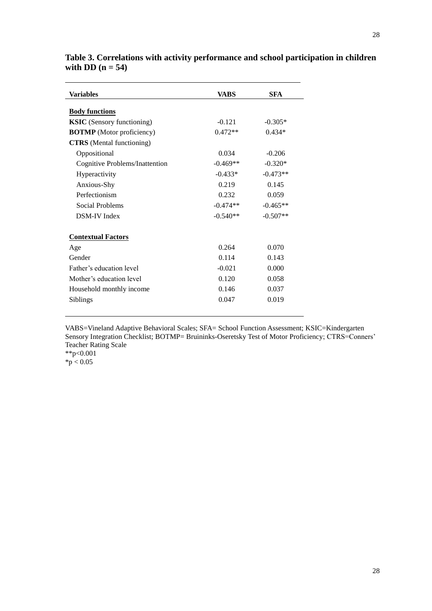| Variables                         | <b>VABS</b> | <b>SFA</b> |
|-----------------------------------|-------------|------------|
| <b>Body functions</b>             |             |            |
| <b>KSIC</b> (Sensory functioning) | $-0.121$    | $-0.305*$  |
| <b>BOTMP</b> (Motor proficiency)  | $0.472**$   | $0.434*$   |
| <b>CTRS</b> (Mental functioning)  |             |            |
| Oppositional                      | 0.034       | $-0.206$   |
| Cognitive Problems/Inattention    | $-0.469**$  | $-0.320*$  |
| Hyperactivity                     | $-0.433*$   | $-0.473**$ |
| Anxious-Shy                       | 0.219       | 0.145      |
| Perfectionism                     | 0.232       | 0.059      |
| Social Problems                   | $-0.474**$  | $-0.465**$ |
| <b>DSM-IV Index</b>               | $-0.540**$  | $-0.507**$ |
| <b>Contextual Factors</b>         |             |            |
| Age                               | 0.264       | 0.070      |
| Gender                            | 0.114       | 0.143      |
| Father's education level          | $-0.021$    | 0.000      |
| Mother's education level          | 0.120       | 0.058      |
| Household monthly income          | 0.146       | 0.037      |
| Siblings                          | 0.047       | 0.019      |

**Table 3. Correlations with activity performance and school participation in children**  with DD  $(n = 54)$ 

VABS=Vineland Adaptive Behavioral Scales; SFA= School Function Assessment; KSIC=Kindergarten Sensory Integration Checklist; BOTMP= Bruininks-Oseretsky Test of Motor Proficiency; CTRS=Conners' Teacher Rating Scale \*\*p<0.001

 $*_{p}$  < 0.05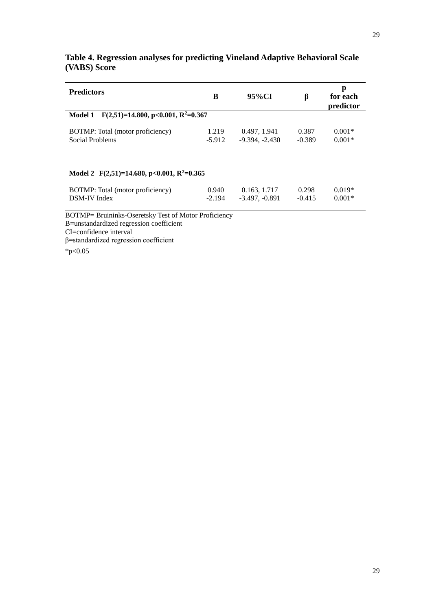| <b>Predictors</b>                                           | B        | 95%CI            | β        | p<br>for each<br>predictor |
|-------------------------------------------------------------|----------|------------------|----------|----------------------------|
| $F(2,51)=14.800, p<0.001, R^2=0.367$<br><b>Model 1</b>      |          |                  |          |                            |
| BOTMP: Total (motor proficiency)                            | 1.219    | 0.497, 1.941     | 0.387    | $0.001*$                   |
| Social Problems                                             | $-5.912$ | $-9.394, -2.430$ | $-0.389$ | $0.001*$                   |
| Model 2 $F(2,51)=14,680, p<0.001, R^2=0.365$                |          |                  |          |                            |
| BOTMP: Total (motor proficiency)                            | 0.940    | 0.163, 1.717     | 0.298    | $0.019*$                   |
| DSM-IV Index                                                | $-2.194$ | $-3.497, -0.891$ | $-0.415$ | $0.001*$                   |
| <b>BOTMP= Bruininks-Oseretsky Test of Motor Proficiency</b> |          |                  |          |                            |

# **Table 4. Regression analyses for predicting Vineland Adaptive Behavioral Scale (VABS) Score**

B=unstandardized regression coefficient CI=confidence interval

β=standardized regression coefficient

 $*p<0.05$